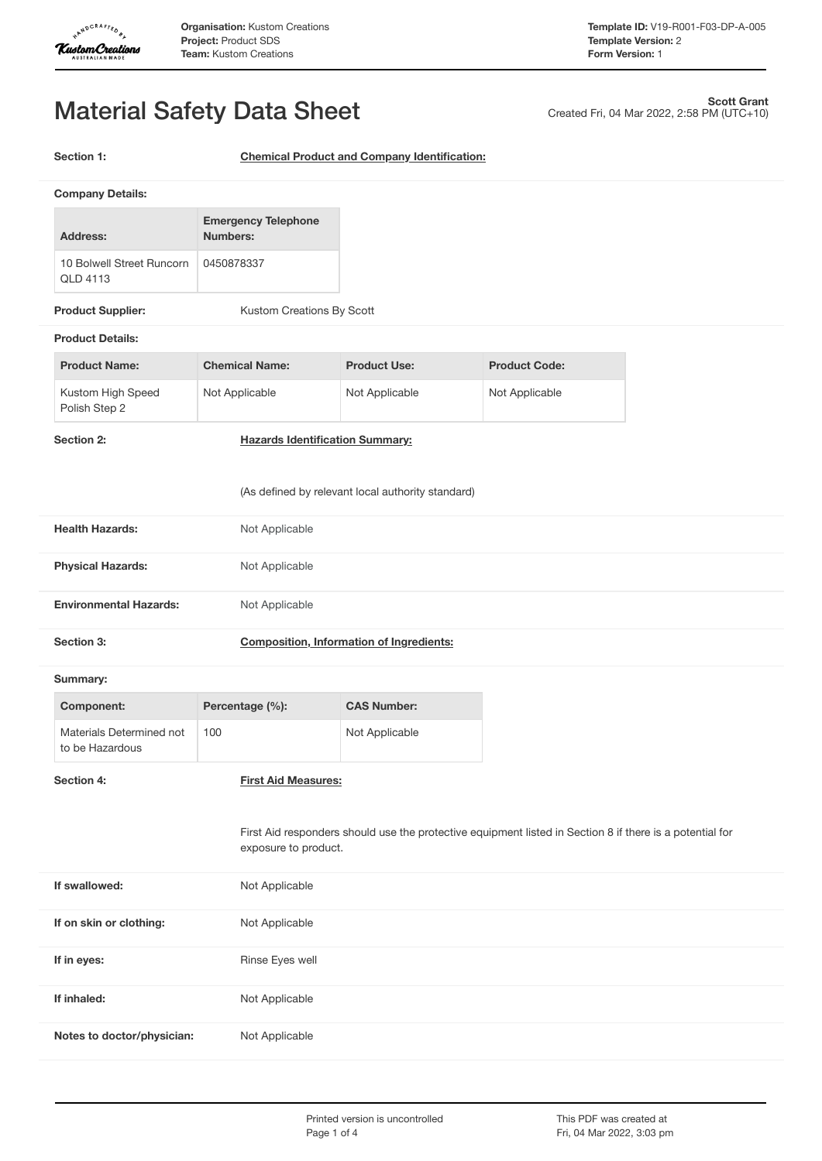

Created Fri, 04 Mar 2022, 2:58 PM (UTC+10)

**Scott Grant**

# Material Safety Data Sheet

**Section 1: Chemical Product and Company Identification:**

|                                                   | <b>Company Details:</b>                     |                                               |                                                                                                          |                      |  |
|---------------------------------------------------|---------------------------------------------|-----------------------------------------------|----------------------------------------------------------------------------------------------------------|----------------------|--|
|                                                   | Address:                                    | <b>Emergency Telephone</b><br><b>Numbers:</b> |                                                                                                          |                      |  |
|                                                   | 10 Bolwell Street Runcorn<br>QLD 4113       | 0450878337                                    |                                                                                                          |                      |  |
|                                                   | <b>Product Supplier:</b>                    | Kustom Creations By Scott                     |                                                                                                          |                      |  |
|                                                   | <b>Product Details:</b>                     |                                               |                                                                                                          |                      |  |
|                                                   | <b>Product Name:</b>                        | <b>Chemical Name:</b>                         | <b>Product Use:</b>                                                                                      | <b>Product Code:</b> |  |
|                                                   | Kustom High Speed<br>Polish Step 2          | Not Applicable                                | Not Applicable                                                                                           | Not Applicable       |  |
|                                                   | Section 2:                                  | <b>Hazards Identification Summary:</b>        |                                                                                                          |                      |  |
| (As defined by relevant local authority standard) |                                             |                                               |                                                                                                          |                      |  |
|                                                   | <b>Health Hazards:</b>                      | Not Applicable                                |                                                                                                          |                      |  |
|                                                   | <b>Physical Hazards:</b>                    | Not Applicable                                |                                                                                                          |                      |  |
|                                                   | <b>Environmental Hazards:</b>               | Not Applicable                                |                                                                                                          |                      |  |
|                                                   | Section 3:                                  |                                               | <b>Composition, Information of Ingredients:</b>                                                          |                      |  |
|                                                   | Summary:                                    |                                               |                                                                                                          |                      |  |
|                                                   | <b>Component:</b>                           | Percentage (%):                               | <b>CAS Number:</b>                                                                                       |                      |  |
|                                                   | Materials Determined not<br>to be Hazardous | 100                                           | Not Applicable                                                                                           |                      |  |
|                                                   | Section 4:                                  | <b>First Aid Measures:</b>                    |                                                                                                          |                      |  |
|                                                   |                                             | exposure to product.                          | First Aid responders should use the protective equipment listed in Section 8 if there is a potential for |                      |  |
|                                                   | If swallowed:                               | Not Applicable                                |                                                                                                          |                      |  |
|                                                   | If on skin or clothing:                     | Not Applicable                                |                                                                                                          |                      |  |
|                                                   | If in eyes:                                 | Rinse Eyes well                               |                                                                                                          |                      |  |
|                                                   | If inhaled:                                 | Not Applicable                                |                                                                                                          |                      |  |
|                                                   | Notes to doctor/physician:                  | Not Applicable                                |                                                                                                          |                      |  |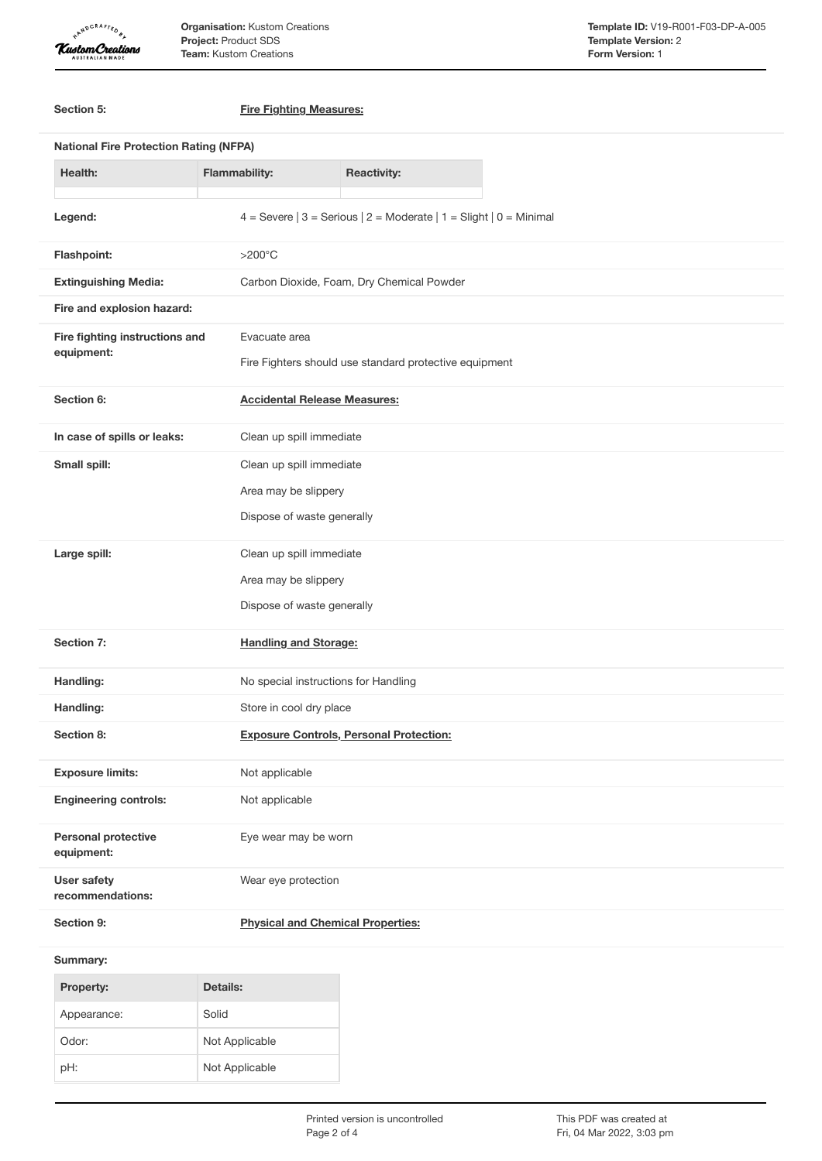

**Organisation:** Kustom Creations **Project:** Product SDS **Team:** Kustom Creations

| Section 5:                               | <b>Fire Fighting Measures:</b>                                         |  |  |  |
|------------------------------------------|------------------------------------------------------------------------|--|--|--|
|                                          | <b>National Fire Protection Rating (NFPA)</b>                          |  |  |  |
| <b>Health:</b>                           | <b>Flammability:</b><br><b>Reactivity:</b>                             |  |  |  |
| Legend:                                  | 4 = Severe $ 3$ = Serious $ 2$ = Moderate $ 1$ = Slight $ 0$ = Minimal |  |  |  |
| Flashpoint:                              | $>200^{\circ}$ C                                                       |  |  |  |
| <b>Extinguishing Media:</b>              | Carbon Dioxide, Foam, Dry Chemical Powder                              |  |  |  |
| Fire and explosion hazard:               |                                                                        |  |  |  |
| Fire fighting instructions and           | Evacuate area                                                          |  |  |  |
| equipment:                               | Fire Fighters should use standard protective equipment                 |  |  |  |
| Section 6:                               | <b>Accidental Release Measures:</b>                                    |  |  |  |
| In case of spills or leaks:              | Clean up spill immediate                                               |  |  |  |
| Small spill:                             | Clean up spill immediate                                               |  |  |  |
|                                          | Area may be slippery                                                   |  |  |  |
|                                          | Dispose of waste generally                                             |  |  |  |
| Large spill:                             | Clean up spill immediate                                               |  |  |  |
|                                          | Area may be slippery                                                   |  |  |  |
|                                          | Dispose of waste generally                                             |  |  |  |
| Section 7:                               | <b>Handling and Storage:</b>                                           |  |  |  |
| Handling:                                | No special instructions for Handling                                   |  |  |  |
| Handling:                                | Store in cool dry place                                                |  |  |  |
| Section 8:                               | <b>Exposure Controls, Personal Protection:</b>                         |  |  |  |
| <b>Exposure limits:</b>                  | Not applicable                                                         |  |  |  |
| <b>Engineering controls:</b>             | Not applicable                                                         |  |  |  |
| <b>Personal protective</b><br>equipment: | Eye wear may be worn                                                   |  |  |  |
| <b>User safety</b><br>recommendations:   | Wear eye protection                                                    |  |  |  |
| Section 9:                               | <b>Physical and Chemical Properties:</b>                               |  |  |  |
| Summary:                                 |                                                                        |  |  |  |
| Property:                                | <b>Details:</b>                                                        |  |  |  |
| Appearance:                              | Solid                                                                  |  |  |  |
| Odor:                                    | Not Applicable                                                         |  |  |  |

pH: Not Applicable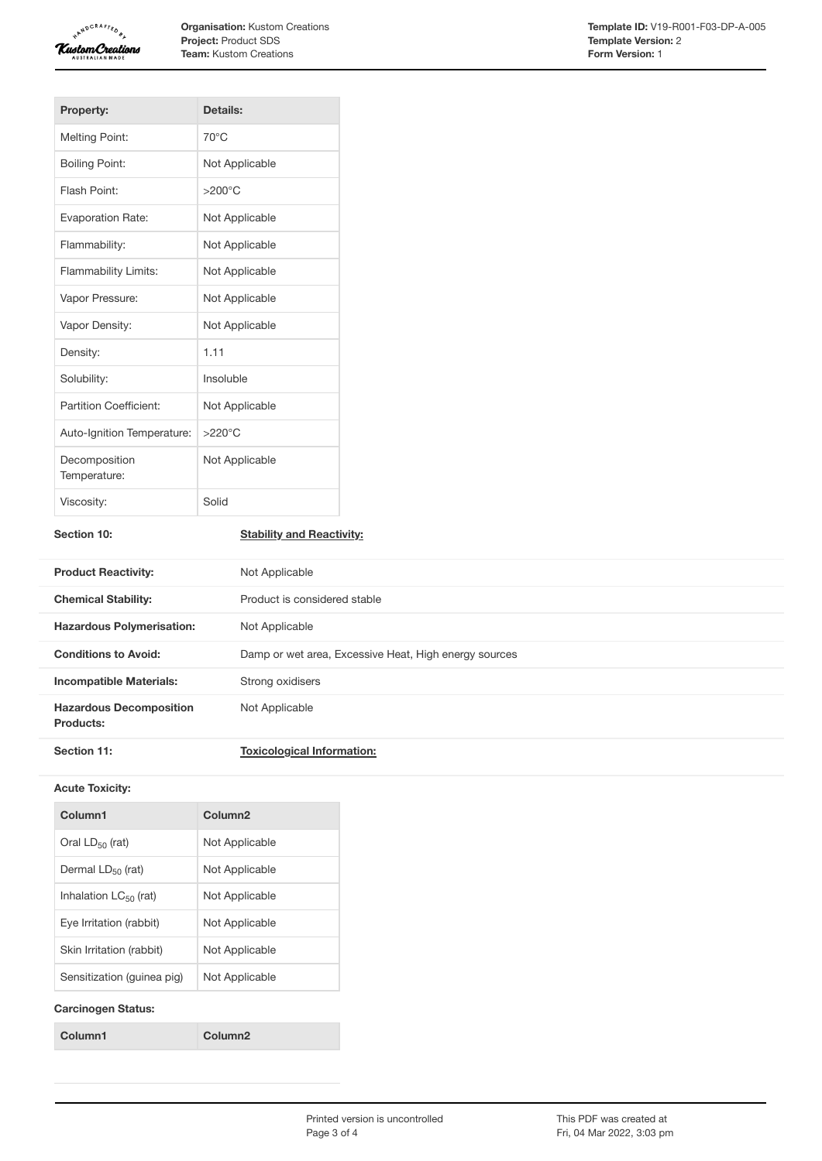

**Organisation:** Kustom Creations **Project:** Product SDS **Team:** Kustom Creations

| <b>Property:</b>              | Details:         |
|-------------------------------|------------------|
| <b>Melting Point:</b>         | $70^{\circ}$ C   |
| <b>Boiling Point:</b>         | Not Applicable   |
| Flash Point:                  | $>200^{\circ}$ C |
| <b>Evaporation Rate:</b>      | Not Applicable   |
| Flammability:                 | Not Applicable   |
| <b>Flammability Limits:</b>   | Not Applicable   |
| Vapor Pressure:               | Not Applicable   |
| Vapor Density:                | Not Applicable   |
| Density:                      | 1.11             |
| Solubility:                   | Insoluble        |
| Partition Coefficient:        | Not Applicable   |
| Auto-Ignition Temperature:    | $>220^{\circ}$ C |
| Decomposition<br>Temperature: | Not Applicable   |
| Viscosity:                    | Solid            |

## **Section 10: Stability and Reactivity:**

| <b>Product Reactivity:</b>                  | Not Applicable                                        |
|---------------------------------------------|-------------------------------------------------------|
| <b>Chemical Stability:</b>                  | Product is considered stable                          |
| <b>Hazardous Polymerisation:</b>            | Not Applicable                                        |
| <b>Conditions to Avoid:</b>                 | Damp or wet area, Excessive Heat, High energy sources |
| <b>Incompatible Materials:</b>              | Strong oxidisers                                      |
| <b>Hazardous Decomposition</b><br>Products: | Not Applicable                                        |
| Section 11:                                 | <b>Toxicological Information:</b>                     |

#### **Acute Toxicity:**

| Column1                    | Column <sub>2</sub> |
|----------------------------|---------------------|
| Oral $LD_{50}$ (rat)       | Not Applicable      |
| Dermal $LD_{50}$ (rat)     | Not Applicable      |
| Inhalation $LC_{50}$ (rat) | Not Applicable      |
| Eve Irritation (rabbit)    | Not Applicable      |
| Skin Irritation (rabbit)   | Not Applicable      |
| Sensitization (quinea pig) | Not Applicable      |
|                            |                     |

## **Carcinogen Status:**